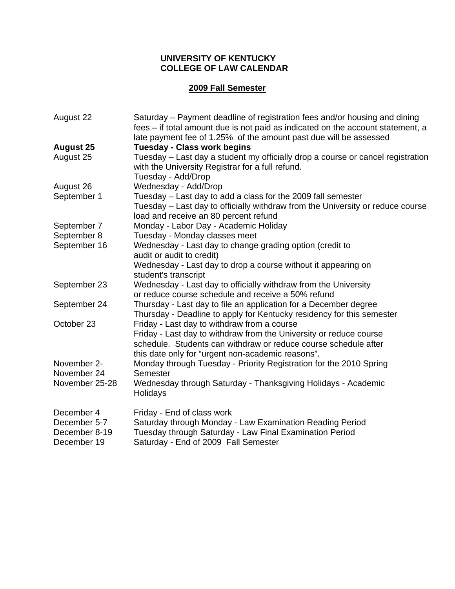#### **UNIVERSITY OF KENTUCKY COLLEGE OF LAW CALENDAR**

## **2009 Fall Semester**

| August 22        | Saturday – Payment deadline of registration fees and/or housing and dining<br>fees – if total amount due is not paid as indicated on the account statement, a |
|------------------|---------------------------------------------------------------------------------------------------------------------------------------------------------------|
|                  | late payment fee of 1.25% of the amount past due will be assessed                                                                                             |
| <b>August 25</b> | <b>Tuesday - Class work begins</b>                                                                                                                            |
| August 25        | Tuesday - Last day a student my officially drop a course or cancel registration<br>with the University Registrar for a full refund.                           |
|                  | Tuesday - Add/Drop                                                                                                                                            |
| August 26        | Wednesday - Add/Drop                                                                                                                                          |
| September 1      | Tuesday – Last day to add a class for the 2009 fall semester                                                                                                  |
|                  | Tuesday – Last day to officially withdraw from the University or reduce course<br>load and receive an 80 percent refund                                       |
| September 7      | Monday - Labor Day - Academic Holiday                                                                                                                         |
| September 8      | Tuesday - Monday classes meet                                                                                                                                 |
| September 16     | Wednesday - Last day to change grading option (credit to                                                                                                      |
|                  | audit or audit to credit)                                                                                                                                     |
|                  | Wednesday - Last day to drop a course without it appearing on                                                                                                 |
|                  | student's transcript                                                                                                                                          |
| September 23     | Wednesday - Last day to officially withdraw from the University                                                                                               |
|                  | or reduce course schedule and receive a 50% refund                                                                                                            |
| September 24     | Thursday - Last day to file an application for a December degree                                                                                              |
|                  | Thursday - Deadline to apply for Kentucky residency for this semester                                                                                         |
| October 23       | Friday - Last day to withdraw from a course                                                                                                                   |
|                  | Friday - Last day to withdraw from the University or reduce course                                                                                            |
|                  | schedule. Students can withdraw or reduce course schedule after                                                                                               |
|                  | this date only for "urgent non-academic reasons".                                                                                                             |
| November 2-      | Monday through Tuesday - Priority Registration for the 2010 Spring                                                                                            |
| November 24      | Semester                                                                                                                                                      |
| November 25-28   | Wednesday through Saturday - Thanksgiving Holidays - Academic<br>Holidays                                                                                     |
|                  |                                                                                                                                                               |
| December 4       | Friday - End of class work                                                                                                                                    |
| December 5-7     | Saturday through Monday - Law Examination Reading Period                                                                                                      |
| December 8-19    | Tuesday through Saturday - Law Final Examination Period                                                                                                       |
| December 19      | Saturday - End of 2009 Fall Semester                                                                                                                          |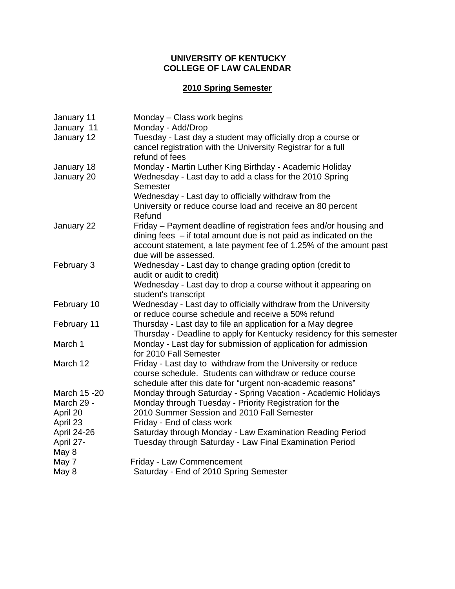#### **UNIVERSITY OF KENTUCKY COLLEGE OF LAW CALENDAR**

# **2010 Spring Semester**

| January 11     | Monday - Class work begins                                                                                                                                                                                                             |
|----------------|----------------------------------------------------------------------------------------------------------------------------------------------------------------------------------------------------------------------------------------|
| January 11     | Monday - Add/Drop                                                                                                                                                                                                                      |
| January 12     | Tuesday - Last day a student may officially drop a course or<br>cancel registration with the University Registrar for a full<br>refund of fees                                                                                         |
| January 18     | Monday - Martin Luther King Birthday - Academic Holiday                                                                                                                                                                                |
| January 20     | Wednesday - Last day to add a class for the 2010 Spring<br>Semester                                                                                                                                                                    |
|                | Wednesday - Last day to officially withdraw from the<br>University or reduce course load and receive an 80 percent<br>Refund                                                                                                           |
| January 22     | Friday – Payment deadline of registration fees and/or housing and<br>dining fees $-$ if total amount due is not paid as indicated on the<br>account statement, a late payment fee of 1.25% of the amount past<br>due will be assessed. |
| February 3     | Wednesday - Last day to change grading option (credit to<br>audit or audit to credit)                                                                                                                                                  |
|                | Wednesday - Last day to drop a course without it appearing on<br>student's transcript                                                                                                                                                  |
| February 10    | Wednesday - Last day to officially withdraw from the University<br>or reduce course schedule and receive a 50% refund                                                                                                                  |
| February 11    | Thursday - Last day to file an application for a May degree<br>Thursday - Deadline to apply for Kentucky residency for this semester                                                                                                   |
| March 1        | Monday - Last day for submission of application for admission<br>for 2010 Fall Semester                                                                                                                                                |
| March 12       | Friday - Last day to withdraw from the University or reduce<br>course schedule. Students can withdraw or reduce course<br>schedule after this date for "urgent non-academic reasons"                                                   |
| March 15 - 20  | Monday through Saturday - Spring Vacation - Academic Holidays                                                                                                                                                                          |
| March 29 -     | Monday through Tuesday - Priority Registration for the                                                                                                                                                                                 |
| April 20       | 2010 Summer Session and 2010 Fall Semester                                                                                                                                                                                             |
| April 23       | Friday - End of class work                                                                                                                                                                                                             |
| April 24-26    | Saturday through Monday - Law Examination Reading Period                                                                                                                                                                               |
| April 27-      | Tuesday through Saturday - Law Final Examination Period                                                                                                                                                                                |
| May 8<br>May 7 | Friday - Law Commencement                                                                                                                                                                                                              |
| May 8          | Saturday - End of 2010 Spring Semester                                                                                                                                                                                                 |
|                |                                                                                                                                                                                                                                        |